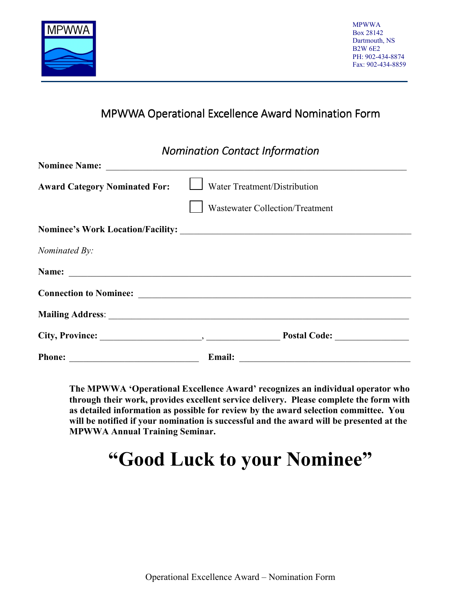

## MPWWA Operational Excellence Award Nomination Form

### *Nomination Contact Information*

| <b>Award Category Nominated For:</b>                                                    | $\Box$ Water Treatment/Distribution |
|-----------------------------------------------------------------------------------------|-------------------------------------|
|                                                                                         | Wastewater Collection/Treatment     |
|                                                                                         |                                     |
| Nominated By:                                                                           |                                     |
|                                                                                         |                                     |
|                                                                                         |                                     |
|                                                                                         |                                     |
|                                                                                         | Postal Code:                        |
| <b>Phone:</b><br><u> 1989 - Johann Barn, mars eta bainar eta politikaria (h. 1989).</u> |                                     |

**The MPWWA 'Operational Excellence Award' recognizes an individual operator who through their work, provides excellent service delivery. Please complete the form with as detailed information as possible for review by the award selection committee. You will be notified if your nomination is successful and the award will be presented at the MPWWA Annual Training Seminar.** 

# **"Good Luck to your Nominee"**